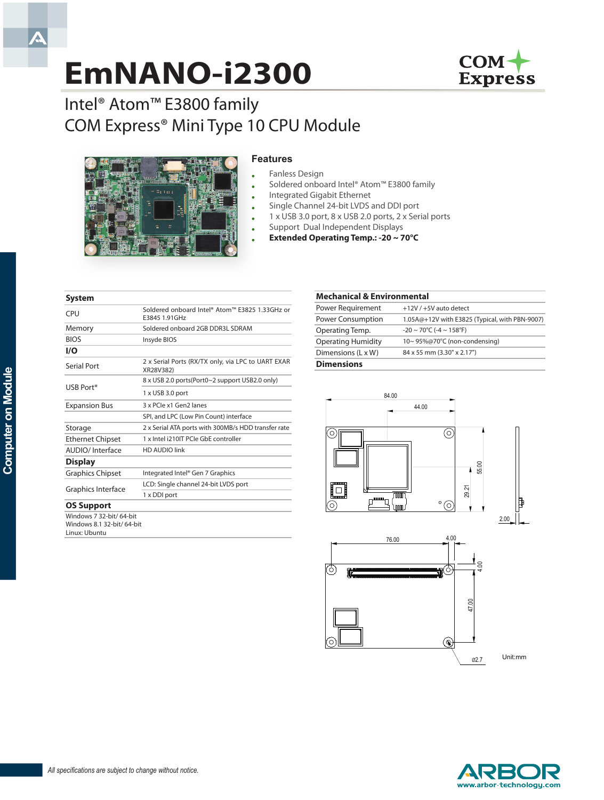# **EmNANO-i2300**



## Intel® Atom™ E3800 family COM Express® Mini Type 10 CPU Module



#### **Features**

- Fanless Design
- Soldered onboard Intel® Atom™ E3800 family
- Integrated Gigabit Ethernet
- Single Channel 24-bit LVDS and DDI port
	- 1 x USB 3.0 port, 8 x USB 2.0 ports, 2 x Serial ports
	- Support Dual Independent Displays
	- **Extended Operating Temp.: -20 ~ 70°C**

#### **System** CPU Soldered onboard Intel® Atom™ E3825 1.33GHz or E3845 1.91GHz Memory Soldered onboard 2GB DDR3L SDRAM BIOS Insyde BIOS **I/O** Serial Port 2 x Serial Ports (RX/TX only, via LPC to UART EXAR XR28V382) USB Port\* 8 x USB 2.0 ports(Port0~2 support USB2.0 only) 1 x USB 3.0 port Expansion Bus 3 x PCIe x1 Gen2 lanes SPI, and LPC (Low Pin Count) interface Storage 2 x Serial ATA ports with 300MB/s HDD transfer rate Ethernet Chipset 1 x Intel i210IT PCIe GbE controller AUDIO/ Interface HD AUDIO link **Display** Graphics Chipset Integrated Intel® Gen 7 Graphics Graphics Interface LCD: Single channel 24-bit LVDS port 1 x DDI port **OS Support** Windows 7 32-bit/ 64-bit

Windows 8.1 32-bit/ 64-bit Linux: Ubuntu

#### **Mechanical & Environmental** Power Requirement +12V / +5V auto detect Power Consumption 1.05A@+12V with E3825 (Typical, with PBN-9007) Operating Temp.  $-20 \sim 70^{\circ}C$  (-4 ~ 158°F) Operating Humidity 10~ 95%@70°C (non-condensing) Dimensions (L x W) 84 x 55 mm (3.30" x 2.17") **Dimensions**







A